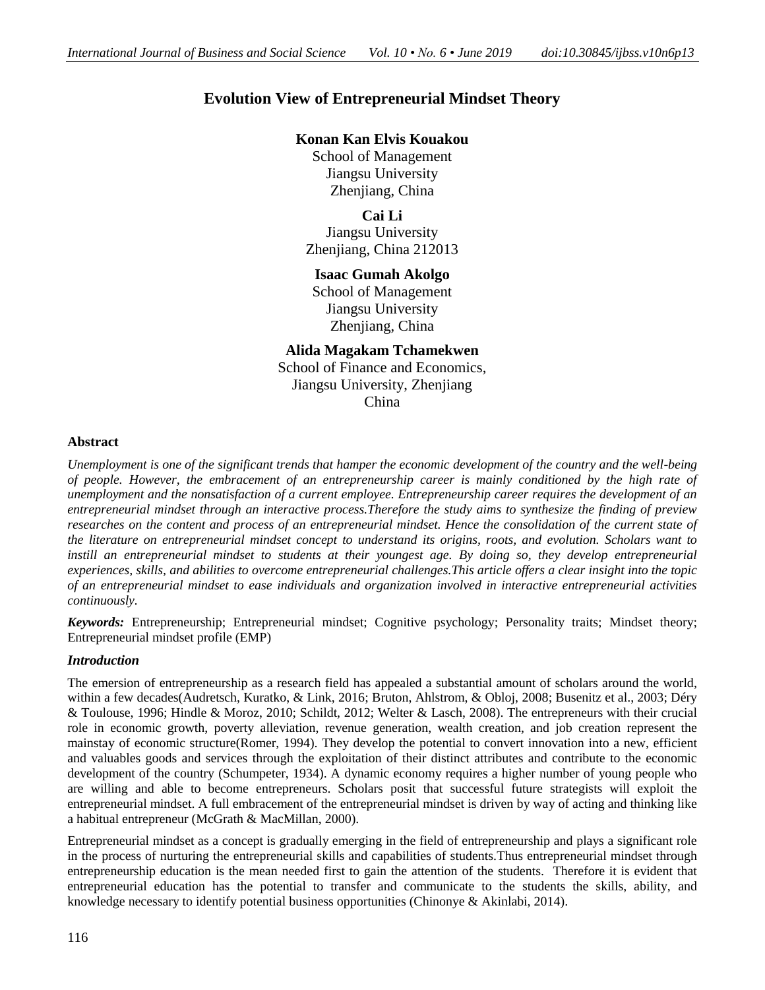# **Evolution View of Entrepreneurial Mindset Theory**

## **Konan Kan Elvis Kouakou**

School of Management Jiangsu University Zhenjiang, China

**Cai Li** Jiangsu University Zhenjiang, China 212013

## **Isaac Gumah Akolgo**

School of Management Jiangsu University Zhenjiang, China

## **Alida Magakam Tchamekwen**

School of Finance and Economics, Jiangsu University, Zhenjiang China

## **Abstract**

*Unemployment is one of the significant trends that hamper the economic development of the country and the well-being of people. However, the embracement of an entrepreneurship career is mainly conditioned by the high rate of unemployment and the nonsatisfaction of a current employee. Entrepreneurship career requires the development of an entrepreneurial mindset through an interactive process.Therefore the study aims to synthesize the finding of preview researches on the content and process of an entrepreneurial mindset. Hence the consolidation of the current state of the literature on entrepreneurial mindset concept to understand its origins, roots, and evolution. Scholars want to*  instill an entrepreneurial mindset to students at their youngest age. By doing so, they develop entrepreneurial *experiences, skills, and abilities to overcome entrepreneurial challenges.This article offers a clear insight into the topic of an entrepreneurial mindset to ease individuals and organization involved in interactive entrepreneurial activities continuously.*

*Keywords:* Entrepreneurship; Entrepreneurial mindset; Cognitive psychology; Personality traits; Mindset theory; Entrepreneurial mindset profile (EMP)

## *Introduction*

The emersion of entrepreneurship as a research field has appealed a substantial amount of scholars around the world, within a few decades[\(Audretsch, Kuratko, & Link, 2016;](#page-11-0) [Bruton, Ahlstrom, & Obloj, 2008;](#page-11-1) [Busenitz et al., 2003;](#page-11-2) [Déry](#page-11-3)  [& Toulouse, 1996;](#page-11-3) [Hindle & Moroz, 2010;](#page-12-0) [Schildt, 2012;](#page-13-0) [Welter & Lasch, 2008\)](#page-13-1). The entrepreneurs with their crucial role in economic growth, poverty alleviation, revenue generation, wealth creation, and job creation represent the mainstay of economic structure[\(Romer, 1994\)](#page-12-1). They develop the potential to convert innovation into a new, efficient and valuables goods and services through the exploitation of their distinct attributes and contribute to the economic development of the country [\(Schumpeter, 1934\)](#page-13-2). A dynamic economy requires a higher number of young people who are willing and able to become entrepreneurs. Scholars posit that successful future strategists will exploit the entrepreneurial mindset. A full embracement of the entrepreneurial mindset is driven by way of acting and thinking like a habitual entrepreneur [\(McGrath & MacMillan, 2000\)](#page-12-2).

Entrepreneurial mindset as a concept is gradually emerging in the field of entrepreneurship and plays a significant role in the process of nurturing the entrepreneurial skills and capabilities of students.Thus entrepreneurial mindset through entrepreneurship education is the mean needed first to gain the attention of the students. Therefore it is evident that entrepreneurial education has the potential to transfer and communicate to the students the skills, ability, and knowledge necessary to identify potential business opportunities [\(Chinonye & Akinlabi, 2014\)](#page-11-4).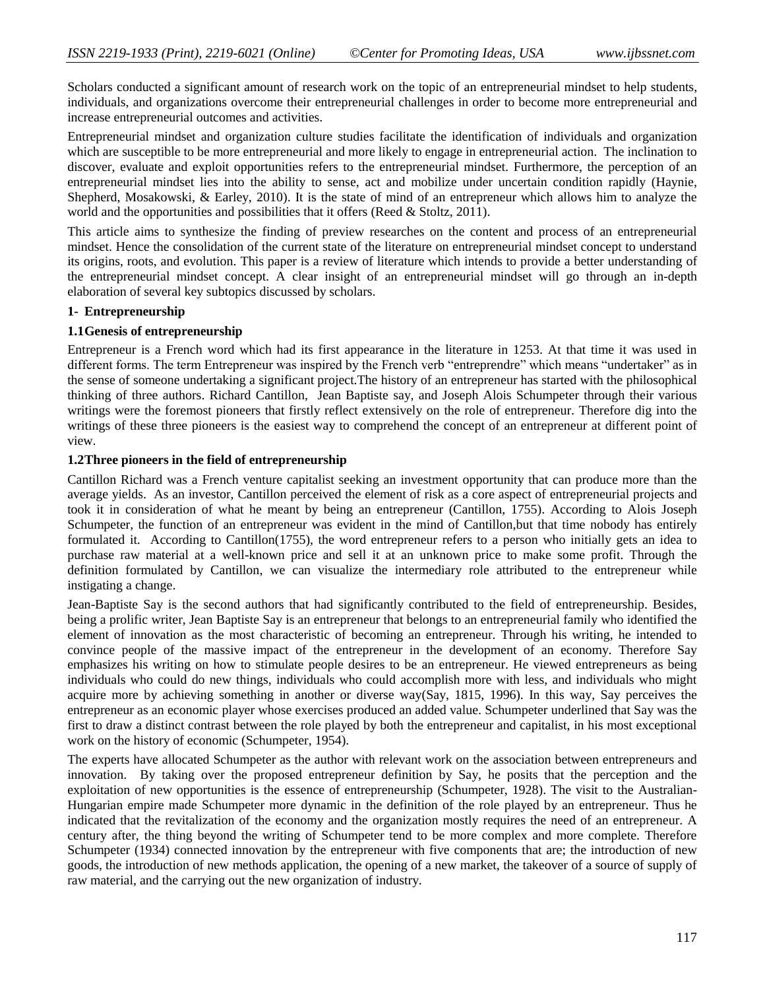Scholars conducted a significant amount of research work on the topic of an entrepreneurial mindset to help students, individuals, and organizations overcome their entrepreneurial challenges in order to become more entrepreneurial and increase entrepreneurial outcomes and activities.

Entrepreneurial mindset and organization culture studies facilitate the identification of individuals and organization which are susceptible to be more entrepreneurial and more likely to engage in entrepreneurial action. The inclination to discover, evaluate and exploit opportunities refers to the entrepreneurial mindset. Furthermore, the perception of an entrepreneurial mindset lies into the ability to sense, act and mobilize under uncertain condition rapidly [\(Haynie,](#page-12-3)  [Shepherd, Mosakowski, & Earley, 2010\)](#page-12-3). It is the state of mind of an entrepreneur which allows him to analyze the world and the opportunities and possibilities that it offers [\(Reed & Stoltz, 2011\)](#page-12-4).

This article aims to synthesize the finding of preview researches on the content and process of an entrepreneurial mindset. Hence the consolidation of the current state of the literature on entrepreneurial mindset concept to understand its origins, roots, and evolution. This paper is a review of literature which intends to provide a better understanding of the entrepreneurial mindset concept. A clear insight of an entrepreneurial mindset will go through an in-depth elaboration of several key subtopics discussed by scholars.

## **1- Entrepreneurship**

## **1.1Genesis of entrepreneurship**

Entrepreneur is a French word which had its first appearance in the literature in 1253. At that time it was used in different forms. The term Entrepreneur was inspired by the French verb "entreprendre" which means "undertaker" as in the sense of someone undertaking a significant project.The history of an entrepreneur has started with the philosophical thinking of three authors. Richard Cantillon, Jean Baptiste say, and Joseph Alois Schumpeter through their various writings were the foremost pioneers that firstly reflect extensively on the role of entrepreneur. Therefore dig into the writings of these three pioneers is the easiest way to comprehend the concept of an entrepreneur at different point of view.

## **1.2Three pioneers in the field of entrepreneurship**

Cantillon Richard was a French venture capitalist seeking an investment opportunity that can produce more than the average yields. As an investor, Cantillon perceived the element of risk as a core aspect of entrepreneurial projects and took it in consideration of what he meant by being an entrepreneur [\(Cantillon, 1755\)](#page-11-5). According to Alois Joseph Schumpeter, the function of an entrepreneur was evident in the mind of Cantillon,but that time nobody has entirely formulated it. According to Cantillon(1755), the word entrepreneur refers to a person who initially gets an idea to purchase raw material at a well-known price and sell it at an unknown price to make some profit. Through the definition formulated by Cantillon, we can visualize the intermediary role attributed to the entrepreneur while instigating a change.

Jean-Baptiste Say is the second authors that had significantly contributed to the field of entrepreneurship. Besides, being a prolific writer, Jean Baptiste Say is an entrepreneur that belongs to an entrepreneurial family who identified the element of innovation as the most characteristic of becoming an entrepreneur. Through his writing, he intended to convince people of the massive impact of the entrepreneur in the development of an economy. Therefore Say emphasizes his writing on how to stimulate people desires to be an entrepreneur. He viewed entrepreneurs as being individuals who could do new things, individuals who could accomplish more with less, and individuals who might acquire more by achieving something in another or diverse way[\(Say, 1815,](#page-13-3) [1996\)](#page-13-4). In this way, Say perceives the entrepreneur as an economic player whose exercises produced an added value. Schumpeter underlined that Say was the first to draw a distinct contrast between the role played by both the entrepreneur and capitalist, in his most exceptional work on the history of economic [\(Schumpeter, 1954\)](#page-13-5).

The experts have allocated Schumpeter as the author with relevant work on the association between entrepreneurs and innovation. By taking over the proposed entrepreneur definition by Say, he posits that the perception and the exploitation of new opportunities is the essence of entrepreneurship [\(Schumpeter, 1928\)](#page-13-6). The visit to the Australian-Hungarian empire made Schumpeter more dynamic in the definition of the role played by an entrepreneur. Thus he indicated that the revitalization of the economy and the organization mostly requires the need of an entrepreneur. A century after, the thing beyond the writing of Schumpeter tend to be more complex and more complete. Therefore [Schumpeter \(1934\)](#page-13-2) connected innovation by the entrepreneur with five components that are; the introduction of new goods, the introduction of new methods application, the opening of a new market, the takeover of a source of supply of raw material, and the carrying out the new organization of industry.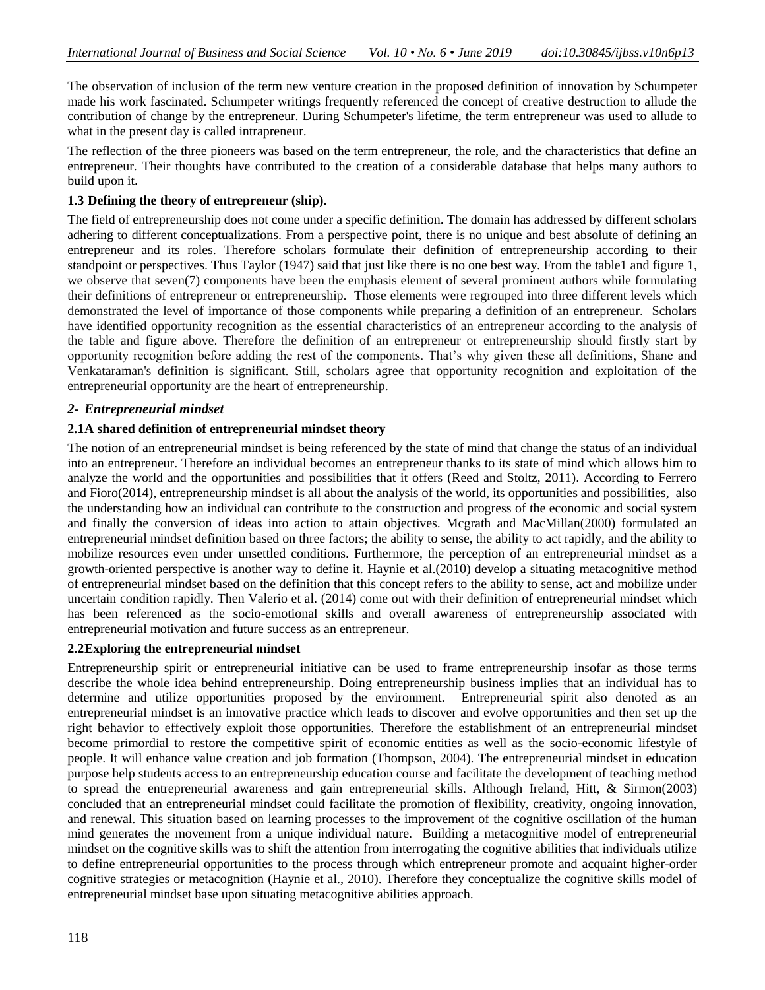The observation of inclusion of the term new venture creation in the proposed definition of innovation by Schumpeter made his work fascinated. Schumpeter writings frequently referenced the concept of creative destruction to allude the contribution of change by the entrepreneur. During Schumpeter's lifetime, the term entrepreneur was used to allude to what in the present day is called intrapreneur.

The reflection of the three pioneers was based on the term entrepreneur, the role, and the characteristics that define an entrepreneur. Their thoughts have contributed to the creation of a considerable database that helps many authors to build upon it.

## **1.3 Defining the theory of entrepreneur (ship).**

The field of entrepreneurship does not come under a specific definition. The domain has addressed by different scholars adhering to different conceptualizations. From a perspective point, there is no unique and best absolute of defining an entrepreneur and its roles. Therefore scholars formulate their definition of entrepreneurship according to their standpoint or perspectives. Thus Taylor (1947) said that just like there is no one best way. From the table1 and figure 1, we observe that seven(7) components have been the emphasis element of several prominent authors while formulating their definitions of entrepreneur or entrepreneurship. Those elements were regrouped into three different levels which demonstrated the level of importance of those components while preparing a definition of an entrepreneur. Scholars have identified opportunity recognition as the essential characteristics of an entrepreneur according to the analysis of the table and figure above. Therefore the definition of an entrepreneur or entrepreneurship should firstly start by opportunity recognition before adding the rest of the components. That"s why given these all definitions, Shane and Venkataraman's definition is significant. Still, scholars agree that opportunity recognition and exploitation of the entrepreneurial opportunity are the heart of entrepreneurship.

## *2- Entrepreneurial mindset*

## **2.1A shared definition of entrepreneurial mindset theory**

The notion of an entrepreneurial mindset is being referenced by the state of mind that change the status of an individual into an entrepreneur. Therefore an individual becomes an entrepreneur thanks to its state of mind which allows him to analyze the world and the opportunities and possibilities that it offers (Reed and Stoltz, 2011). According to Ferrero and Fioro(2014), entrepreneurship mindset is all about the analysis of the world, its opportunities and possibilities, also the understanding how an individual can contribute to the construction and progress of the economic and social system and finally the conversion of ideas into action to attain objectives. Mcgrath and MacMillan(2000) formulated an entrepreneurial mindset definition based on three factors; the ability to sense, the ability to act rapidly, and the ability to mobilize resources even under unsettled conditions. Furthermore, the perception of an entrepreneurial mindset as a growth-oriented perspective is another way to define it. Haynie et al.(2010) develop a situating metacognitive method of entrepreneurial mindset based on the definition that this concept refers to the ability to sense, act and mobilize under uncertain condition rapidly. Then Valerio et al. (2014) come out with their definition of entrepreneurial mindset which has been referenced as the socio-emotional skills and overall awareness of entrepreneurship associated with entrepreneurial motivation and future success as an entrepreneur.

#### **2.2Exploring the entrepreneurial mindset**

Entrepreneurship spirit or entrepreneurial initiative can be used to frame entrepreneurship insofar as those terms describe the whole idea behind entrepreneurship. Doing entrepreneurship business implies that an individual has to determine and utilize opportunities proposed by the environment. Entrepreneurial spirit also denoted as an entrepreneurial mindset is an innovative practice which leads to discover and evolve opportunities and then set up the right behavior to effectively exploit those opportunities. Therefore the establishment of an entrepreneurial mindset become primordial to restore the competitive spirit of economic entities as well as the socio-economic lifestyle of people. It will enhance value creation and job formation (Thompson, 2004). The entrepreneurial mindset in education purpose help students access to an entrepreneurship education course and facilitate the development of teaching method to spread the entrepreneurial awareness and gain entrepreneurial skills. Although Ireland, Hitt, & Sirmon(2003) concluded that an entrepreneurial mindset could facilitate the promotion of flexibility, creativity, ongoing innovation, and renewal. This situation based on learning processes to the improvement of the cognitive oscillation of the human mind generates the movement from a unique individual nature. Building a metacognitive model of entrepreneurial mindset on the cognitive skills was to shift the attention from interrogating the cognitive abilities that individuals utilize to define entrepreneurial opportunities to the process through which entrepreneur promote and acquaint higher-order cognitive strategies or metacognition (Haynie et al., 2010). Therefore they conceptualize the cognitive skills model of entrepreneurial mindset base upon situating metacognitive abilities approach.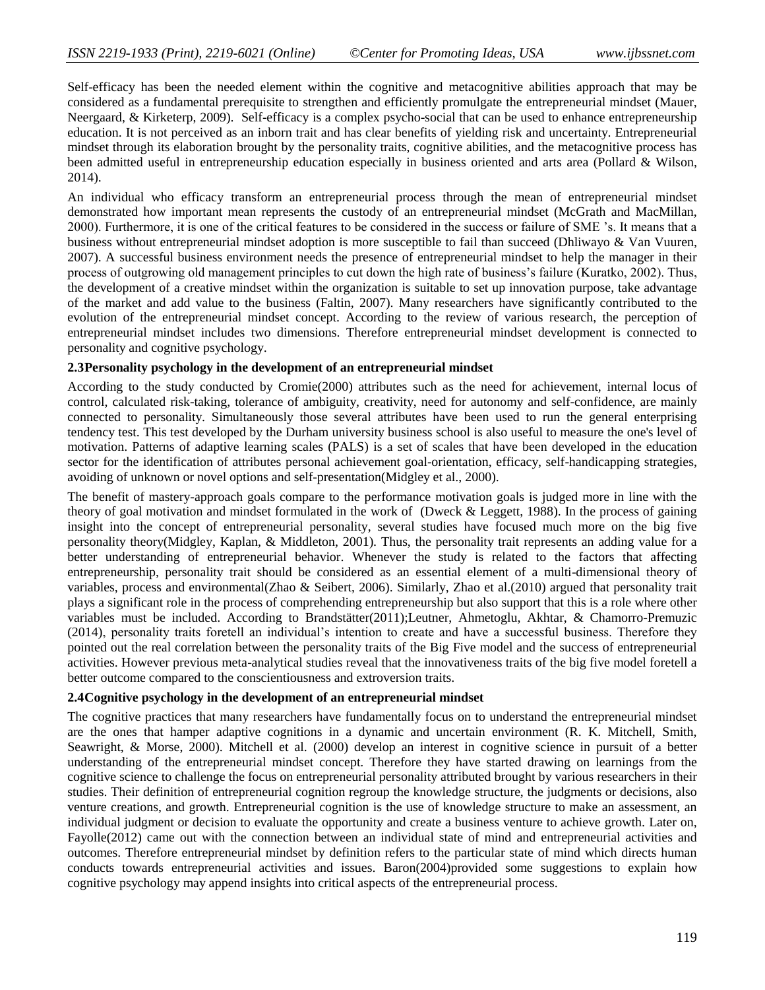Self-efficacy has been the needed element within the cognitive and metacognitive abilities approach that may be considered as a fundamental prerequisite to strengthen and efficiently promulgate the entrepreneurial mindset (Mauer, Neergaard, & Kirketerp, 2009). Self-efficacy is a complex psycho-social that can be used to enhance entrepreneurship education. It is not perceived as an inborn trait and has clear benefits of yielding risk and uncertainty. Entrepreneurial mindset through its elaboration brought by the personality traits, cognitive abilities, and the metacognitive process has been admitted useful in entrepreneurship education especially in business oriented and arts area (Pollard & Wilson, 2014).

An individual who efficacy transform an entrepreneurial process through the mean of entrepreneurial mindset demonstrated how important mean represents the custody of an entrepreneurial mindset (McGrath and MacMillan, 2000). Furthermore, it is one of the critical features to be considered in the success or failure of SME "s. It means that a business without entrepreneurial mindset adoption is more susceptible to fail than succeed (Dhliwayo & Van Vuuren, 2007). A successful business environment needs the presence of entrepreneurial mindset to help the manager in their process of outgrowing old management principles to cut down the high rate of business"s failure (Kuratko, 2002). Thus, the development of a creative mindset within the organization is suitable to set up innovation purpose, take advantage of the market and add value to the business (Faltin, 2007). Many researchers have significantly contributed to the evolution of the entrepreneurial mindset concept. According to the review of various research, the perception of entrepreneurial mindset includes two dimensions. Therefore entrepreneurial mindset development is connected to personality and cognitive psychology.

#### **2.3Personality psychology in the development of an entrepreneurial mindset**

According to the study conducted by [Cromie\(2000\)](#page-11-6) attributes such as the need for achievement, internal locus of control, calculated risk-taking, tolerance of ambiguity, creativity, need for autonomy and self-confidence, are mainly connected to personality. Simultaneously those several attributes have been used to run the general enterprising tendency test. This test developed by the Durham university business school is also useful to measure the one's level of motivation. Patterns of adaptive learning scales (PALS) is a set of scales that have been developed in the education sector for the identification of attributes personal achievement goal-orientation, efficacy, self-handicapping strategies, avoiding of unknown or novel options and self-presentation[\(Midgley et al., 2000\)](#page-12-5).

The benefit of mastery-approach goals compare to the performance motivation goals is judged more in line with the theory of goal motivation and mindset formulated in the work of [\(Dweck & Leggett, 1988\)](#page-12-6). In the process of gaining insight into the concept of entrepreneurial personality, several studies have focused much more on the big five personality theory[\(Midgley, Kaplan, & Middleton, 2001\)](#page-12-7). Thus, the personality trait represents an adding value for a better understanding of entrepreneurial behavior. Whenever the study is related to the factors that affecting entrepreneurship, personality trait should be considered as an essential element of a multi-dimensional theory of variables, process and environmental[\(Zhao & Seibert, 2006\)](#page-13-7). Similarly, Zhao et al.(2010) argued that personality trait plays a significant role in the process of comprehending entrepreneurship but also support that this is a role where other variables must be included. According to [Brandstätter\(2011\)](#page-11-7)[;Leutner, Ahmetoglu, Akhtar, & Chamorro-Premuzic](#page-12-8)  [\(2014\)](#page-12-8), personality traits foretell an individual's intention to create and have a successful business. Therefore they pointed out the real correlation between the personality traits of the Big Five model and the success of entrepreneurial activities. However previous meta-analytical studies reveal that the innovativeness traits of the big five model foretell a better outcome compared to the conscientiousness and extroversion traits.

#### **2.4Cognitive psychology in the development of an entrepreneurial mindset**

The cognitive practices that many researchers have fundamentally focus on to understand the entrepreneurial mindset are the ones that hamper adaptive cognitions in a dynamic and uncertain environment [\(R. K. Mitchell, Smith,](#page-12-9)  [Seawright, & Morse, 2000\)](#page-12-9). Mitchell et al. (2000) develop an interest in cognitive science in pursuit of a better understanding of the entrepreneurial mindset concept. Therefore they have started drawing on learnings from the cognitive science to challenge the focus on entrepreneurial personality attributed brought by various researchers in their studies. Their definition of entrepreneurial cognition regroup the knowledge structure, the judgments or decisions, also venture creations, and growth. Entrepreneurial cognition is the use of knowledge structure to make an assessment, an individual judgment or decision to evaluate the opportunity and create a business venture to achieve growth. Later on, [Fayolle\(2012\)](#page-12-10) came out with the connection between an individual state of mind and entrepreneurial activities and outcomes. Therefore entrepreneurial mindset by definition refers to the particular state of mind which directs human conducts towards entrepreneurial activities and issues. [Baron\(2004\)](#page-11-8)provided some suggestions to explain how cognitive psychology may append insights into critical aspects of the entrepreneurial process.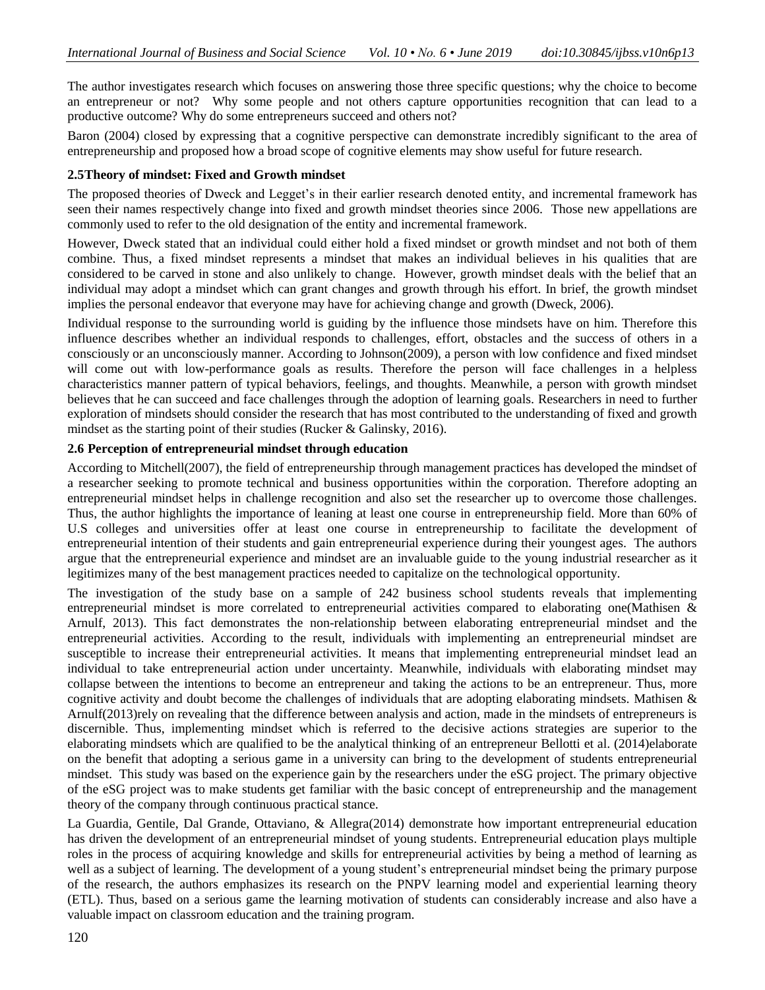The author investigates research which focuses on answering those three specific questions; why the choice to become an entrepreneur or not? Why some people and not others capture opportunities recognition that can lead to a productive outcome? Why do some entrepreneurs succeed and others not?

Baron (2004) closed by expressing that a cognitive perspective can demonstrate incredibly significant to the area of entrepreneurship and proposed how a broad scope of cognitive elements may show useful for future research.

#### **2.5Theory of mindset: Fixed and Growth mindset**

The proposed theories of Dweck and Legget's in their earlier research denoted entity, and incremental framework has seen their names respectively change into fixed and growth mindset theories since 2006. Those new appellations are commonly used to refer to the old designation of the entity and incremental framework.

However, Dweck stated that an individual could either hold a fixed mindset or growth mindset and not both of them combine. Thus, a fixed mindset represents a mindset that makes an individual believes in his qualities that are considered to be carved in stone and also unlikely to change. However, growth mindset deals with the belief that an individual may adopt a mindset which can grant changes and growth through his effort. In brief, the growth mindset implies the personal endeavor that everyone may have for achieving change and growth [\(Dweck, 2006\)](#page-11-9).

Individual response to the surrounding world is guiding by the influence those mindsets have on him. Therefore this influence describes whether an individual responds to challenges, effort, obstacles and the success of others in a consciously or an unconsciously manner. According to [Johnson\(2009\)](#page-12-11), a person with low confidence and fixed mindset will come out with low-performance goals as results. Therefore the person will face challenges in a helpless characteristics manner pattern of typical behaviors, feelings, and thoughts. Meanwhile, a person with growth mindset believes that he can succeed and face challenges through the adoption of learning goals. Researchers in need to further exploration of mindsets should consider the research that has most contributed to the understanding of fixed and growth mindset as the starting point of their studies [\(Rucker & Galinsky, 2016\)](#page-12-12).

## **2.6 Perception of entrepreneurial mindset through education**

According to [Mitchell\(2007\)](#page-12-13), the field of entrepreneurship through management practices has developed the mindset of a researcher seeking to promote technical and business opportunities within the corporation. Therefore adopting an entrepreneurial mindset helps in challenge recognition and also set the researcher up to overcome those challenges. Thus, the author highlights the importance of leaning at least one course in entrepreneurship field. More than 60% of U.S colleges and universities offer at least one course in entrepreneurship to facilitate the development of entrepreneurial intention of their students and gain entrepreneurial experience during their youngest ages. The authors argue that the entrepreneurial experience and mindset are an invaluable guide to the young industrial researcher as it legitimizes many of the best management practices needed to capitalize on the technological opportunity.

The investigation of the study base on a sample of 242 business school students reveals that implementing entrepreneurial mindset is more correlated to entrepreneurial activities compared to elaborating one[\(Mathisen &](#page-12-14)  [Arnulf, 2013\)](#page-12-14). This fact demonstrates the non-relationship between elaborating entrepreneurial mindset and the entrepreneurial activities. According to the result, individuals with implementing an entrepreneurial mindset are susceptible to increase their entrepreneurial activities. It means that implementing entrepreneurial mindset lead an individual to take entrepreneurial action under uncertainty. Meanwhile, individuals with elaborating mindset may collapse between the intentions to become an entrepreneur and taking the actions to be an entrepreneur. Thus, more cognitive activity and doubt become the challenges of individuals that are adopting elaborating mindsets. Mathisen  $\&$ [Arnulf\(2013\)](#page-12-14)rely on revealing that the difference between analysis and action, made in the mindsets of entrepreneurs is discernible. Thus, implementing mindset which is referred to the decisive actions strategies are superior to the elaborating mindsets which are qualified to be the analytical thinking of an entrepreneur [Bellotti et al. \(2014\)](#page-11-10)elaborate on the benefit that adopting a serious game in a university can bring to the development of students entrepreneurial mindset. This study was based on the experience gain by the researchers under the eSG project. The primary objective of the eSG project was to make students get familiar with the basic concept of entrepreneurship and the management theory of the company through continuous practical stance.

[La Guardia, Gentile, Dal Grande, Ottaviano, & Allegra\(2014\)](#page-12-15) demonstrate how important entrepreneurial education has driven the development of an entrepreneurial mindset of young students. Entrepreneurial education plays multiple roles in the process of acquiring knowledge and skills for entrepreneurial activities by being a method of learning as well as a subject of learning. The development of a young student"s entrepreneurial mindset being the primary purpose of the research, the authors emphasizes its research on the PNPV learning model and experiential learning theory (ETL). Thus, based on a serious game the learning motivation of students can considerably increase and also have a valuable impact on classroom education and the training program.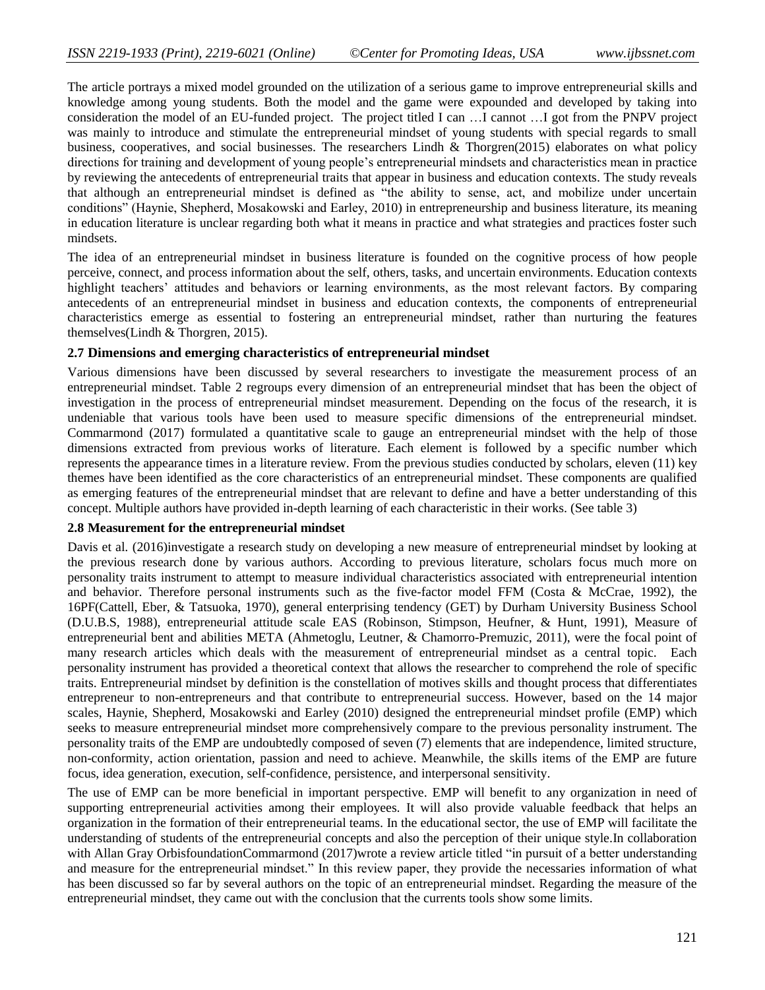The article portrays a mixed model grounded on the utilization of a serious game to improve entrepreneurial skills and knowledge among young students. Both the model and the game were expounded and developed by taking into consideration the model of an EU-funded project. The project titled I can …I cannot …I got from the PNPV project was mainly to introduce and stimulate the entrepreneurial mindset of young students with special regards to small business, cooperatives, and social businesses. The researchers [Lindh & Thorgren\(2015\)](#page-12-16) elaborates on what policy directions for training and development of young people"s entrepreneurial mindsets and characteristics mean in practice by reviewing the antecedents of entrepreneurial traits that appear in business and education contexts. The study reveals that although an entrepreneurial mindset is defined as "the ability to sense, act, and mobilize under uncertain conditions" (Haynie, Shepherd, Mosakowski and Earley, 2010) in entrepreneurship and business literature, its meaning in education literature is unclear regarding both what it means in practice and what strategies and practices foster such mindsets.

The idea of an entrepreneurial mindset in business literature is founded on the cognitive process of how people perceive, connect, and process information about the self, others, tasks, and uncertain environments. Education contexts highlight teachers' attitudes and behaviors or learning environments, as the most relevant factors. By comparing antecedents of an entrepreneurial mindset in business and education contexts, the components of entrepreneurial characteristics emerge as essential to fostering an entrepreneurial mindset, rather than nurturing the features themselves[\(Lindh & Thorgren, 2015\)](#page-12-16).

#### **2.7 Dimensions and emerging characteristics of entrepreneurial mindset**

Various dimensions have been discussed by several researchers to investigate the measurement process of an entrepreneurial mindset. Table 2 regroups every dimension of an entrepreneurial mindset that has been the object of investigation in the process of entrepreneurial mindset measurement. Depending on the focus of the research, it is undeniable that various tools have been used to measure specific dimensions of the entrepreneurial mindset. Commarmond (2017) formulated a quantitative scale to gauge an entrepreneurial mindset with the help of those dimensions extracted from previous works of literature. Each element is followed by a specific number which represents the appearance times in a literature review. From the previous studies conducted by scholars, eleven (11) key themes have been identified as the core characteristics of an entrepreneurial mindset. These components are qualified as emerging features of the entrepreneurial mindset that are relevant to define and have a better understanding of this concept. Multiple authors have provided in-depth learning of each characteristic in their works. (See table 3)

#### **2.8 Measurement for the entrepreneurial mindset**

[Davis et al. \(2016\)](#page-11-11)investigate a research study on developing a new measure of entrepreneurial mindset by looking at the previous research done by various authors. According to previous literature, scholars focus much more on personality traits instrument to attempt to measure individual characteristics associated with entrepreneurial intention and behavior. Therefore personal instruments such as the five-factor model FFM [\(Costa & McCrae, 1992\)](#page-11-12), the 16PF[\(Cattell, Eber, & Tatsuoka, 1970\)](#page-11-13), general enterprising tendency (GET) by Durham University Business School [\(D.U.B.S, 1988\)](#page-11-14), entrepreneurial attitude scale EAS [\(Robinson, Stimpson, Heufner, & Hunt, 1991\)](#page-12-17), Measure of entrepreneurial bent and abilities META [\(Ahmetoglu, Leutner, & Chamorro-Premuzic, 2011\)](#page-11-15), were the focal point of many research articles which deals with the measurement of entrepreneurial mindset as a central topic. Each personality instrument has provided a theoretical context that allows the researcher to comprehend the role of specific traits. Entrepreneurial mindset by definition is the constellation of motives skills and thought process that differentiates entrepreneur to non-entrepreneurs and that contribute to entrepreneurial success. However, based on the 14 major scales, Haynie, Shepherd, Mosakowski and Earley (2010) designed the entrepreneurial mindset profile (EMP) which seeks to measure entrepreneurial mindset more comprehensively compare to the previous personality instrument. The personality traits of the EMP are undoubtedly composed of seven (7) elements that are independence, limited structure, non-conformity, action orientation, passion and need to achieve. Meanwhile, the skills items of the EMP are future focus, idea generation, execution, self-confidence, persistence, and interpersonal sensitivity.

The use of EMP can be more beneficial in important perspective. EMP will benefit to any organization in need of supporting entrepreneurial activities among their employees. It will also provide valuable feedback that helps an organization in the formation of their entrepreneurial teams. In the educational sector, the use of EMP will facilitate the understanding of students of the entrepreneurial concepts and also the perception of their unique style.In collaboration with Allan Gray Orbisfoundatio[nCommarmond \(2017\)](#page-11-16)wrote a review article titled "in pursuit of a better understanding and measure for the entrepreneurial mindset." In this review paper, they provide the necessaries information of what has been discussed so far by several authors on the topic of an entrepreneurial mindset. Regarding the measure of the entrepreneurial mindset, they came out with the conclusion that the currents tools show some limits.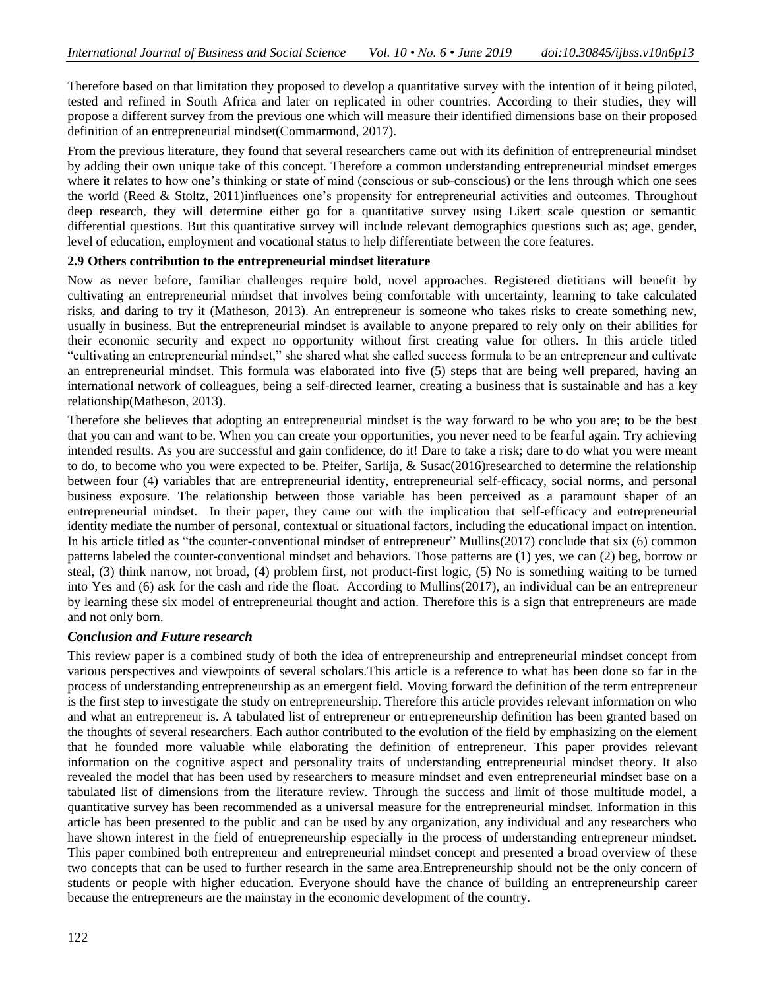Therefore based on that limitation they proposed to develop a quantitative survey with the intention of it being piloted, tested and refined in South Africa and later on replicated in other countries. According to their studies, they will propose a different survey from the previous one which will measure their identified dimensions base on their proposed definition of an entrepreneurial mindset[\(Commarmond, 2017\)](#page-11-16).

From the previous literature, they found that several researchers came out with its definition of entrepreneurial mindset by adding their own unique take of this concept. Therefore a common understanding entrepreneurial mindset emerges where it relates to how one's thinking or state of mind (conscious or sub-conscious) or the lens through which one sees the world [\(Reed & Stoltz, 2011\)](#page-12-4)influences one's propensity for entrepreneurial activities and outcomes. Throughout deep research, they will determine either go for a quantitative survey using Likert scale question or semantic differential questions. But this quantitative survey will include relevant demographics questions such as; age, gender, level of education, employment and vocational status to help differentiate between the core features.

## **2.9 Others contribution to the entrepreneurial mindset literature**

Now as never before, familiar challenges require bold, novel approaches. Registered dietitians will benefit by cultivating an entrepreneurial mindset that involves being comfortable with uncertainty, learning to take calculated risks, and daring to try it [\(Matheson, 2013\)](#page-12-18). An entrepreneur is someone who takes risks to create something new, usually in business. But the entrepreneurial mindset is available to anyone prepared to rely only on their abilities for their economic security and expect no opportunity without first creating value for others. In this article titled "cultivating an entrepreneurial mindset," she shared what she called success formula to be an entrepreneur and cultivate an entrepreneurial mindset. This formula was elaborated into five (5) steps that are being well prepared, having an international network of colleagues, being a self-directed learner, creating a business that is sustainable and has a key relationship[\(Matheson, 2013\)](#page-12-18).

Therefore she believes that adopting an entrepreneurial mindset is the way forward to be who you are; to be the best that you can and want to be. When you can create your opportunities, you never need to be fearful again. Try achieving intended results. As you are successful and gain confidence, do it! Dare to take a risk; dare to do what you were meant to do, to become who you were expected to be. [Pfeifer, Sarlija, & Susac\(2016\)](#page-12-19)researched to determine the relationship between four (4) variables that are entrepreneurial identity, entrepreneurial self-efficacy, social norms, and personal business exposure. The relationship between those variable has been perceived as a paramount shaper of an entrepreneurial mindset. In their paper, they came out with the implication that self-efficacy and entrepreneurial identity mediate the number of personal, contextual or situational factors, including the educational impact on intention. In his article titled as "the counter-conventional mindset of entrepreneur" [Mullins\(2017\)](#page-12-20) conclude that six (6) common patterns labeled the counter-conventional mindset and behaviors. Those patterns are (1) yes, we can (2) beg, borrow or steal, (3) think narrow, not broad, (4) problem first, not product-first logic, (5) No is something waiting to be turned into Yes and (6) ask for the cash and ride the float. According to Mullins(2017), an individual can be an entrepreneur by learning these six model of entrepreneurial thought and action. Therefore this is a sign that entrepreneurs are made and not only born.

## *Conclusion and Future research*

This review paper is a combined study of both the idea of entrepreneurship and entrepreneurial mindset concept from various perspectives and viewpoints of several scholars.This article is a reference to what has been done so far in the process of understanding entrepreneurship as an emergent field. Moving forward the definition of the term entrepreneur is the first step to investigate the study on entrepreneurship. Therefore this article provides relevant information on who and what an entrepreneur is. A tabulated list of entrepreneur or entrepreneurship definition has been granted based on the thoughts of several researchers. Each author contributed to the evolution of the field by emphasizing on the element that he founded more valuable while elaborating the definition of entrepreneur. This paper provides relevant information on the cognitive aspect and personality traits of understanding entrepreneurial mindset theory. It also revealed the model that has been used by researchers to measure mindset and even entrepreneurial mindset base on a tabulated list of dimensions from the literature review. Through the success and limit of those multitude model, a quantitative survey has been recommended as a universal measure for the entrepreneurial mindset. Information in this article has been presented to the public and can be used by any organization, any individual and any researchers who have shown interest in the field of entrepreneurship especially in the process of understanding entrepreneur mindset. This paper combined both entrepreneur and entrepreneurial mindset concept and presented a broad overview of these two concepts that can be used to further research in the same area.Entrepreneurship should not be the only concern of students or people with higher education. Everyone should have the chance of building an entrepreneurship career because the entrepreneurs are the mainstay in the economic development of the country.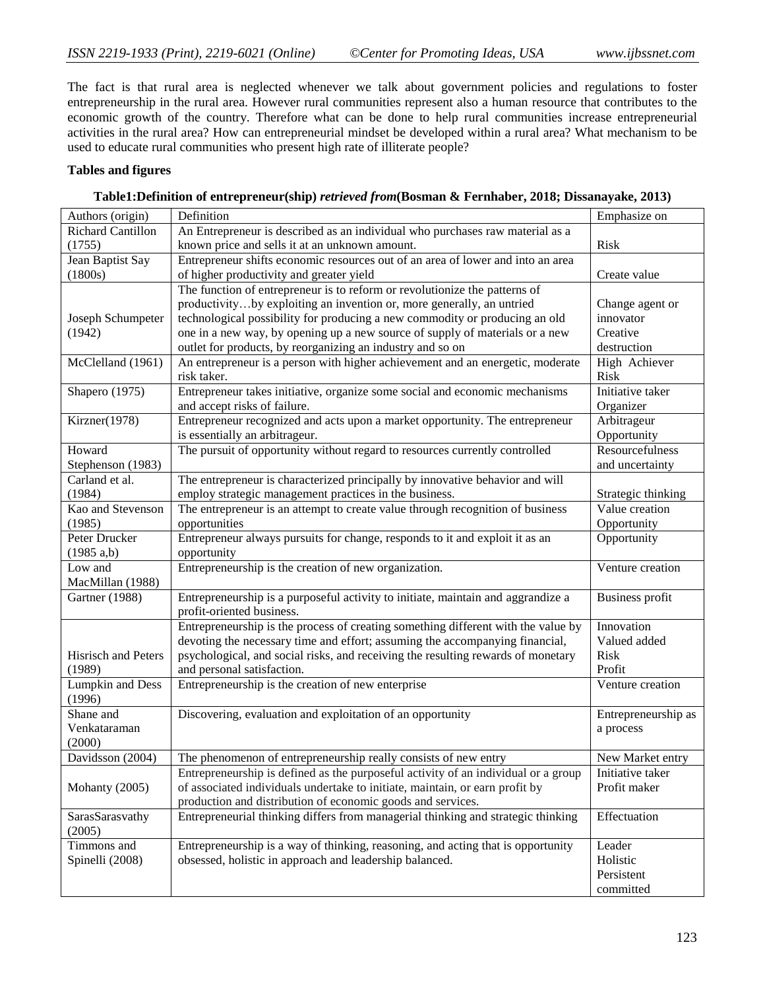The fact is that rural area is neglected whenever we talk about government policies and regulations to foster entrepreneurship in the rural area. However rural communities represent also a human resource that contributes to the economic growth of the country. Therefore what can be done to help rural communities increase entrepreneurial activities in the rural area? How can entrepreneurial mindset be developed within a rural area? What mechanism to be used to educate rural communities who present high rate of illiterate people?

## **Tables and figures**

## **Table1:Definition of entrepreneur(ship)** *retrieved from***[\(Bosman & Fernhaber, 2018;](#page-11-17) [Dissanayake, 2013\)](#page-11-18)**

| Authors (origin)        | Definition                                                                         | Emphasize on           |
|-------------------------|------------------------------------------------------------------------------------|------------------------|
| Richard Cantillon       | An Entrepreneur is described as an individual who purchases raw material as a      |                        |
| (1755)                  | known price and sells it at an unknown amount.                                     | <b>Risk</b>            |
| Jean Baptist Say        | Entrepreneur shifts economic resources out of an area of lower and into an area    |                        |
| (1800s)                 | of higher productivity and greater yield                                           | Create value           |
|                         | The function of entrepreneur is to reform or revolutionize the patterns of         |                        |
|                         | productivityby exploiting an invention or, more generally, an untried              | Change agent or        |
| Joseph Schumpeter       | technological possibility for producing a new commodity or producing an old        | innovator              |
| (1942)                  | one in a new way, by opening up a new source of supply of materials or a new       | Creative               |
|                         | outlet for products, by reorganizing an industry and so on                         | destruction            |
| McClelland (1961)       | An entrepreneur is a person with higher achievement and an energetic, moderate     | High Achiever          |
|                         | risk taker.                                                                        | <b>Risk</b>            |
| Shapero (1975)          | Entrepreneur takes initiative, organize some social and economic mechanisms        | Initiative taker       |
|                         | and accept risks of failure.                                                       | Organizer              |
| Kirzner(1978)           | Entrepreneur recognized and acts upon a market opportunity. The entrepreneur       | Arbitrageur            |
|                         | is essentially an arbitrageur.                                                     | Opportunity            |
| Howard                  | The pursuit of opportunity without regard to resources currently controlled        | Resourcefulness        |
| Stephenson (1983)       |                                                                                    | and uncertainty        |
| Carland et al.          | The entrepreneur is characterized principally by innovative behavior and will      |                        |
| (1984)                  | employ strategic management practices in the business.                             | Strategic thinking     |
| Kao and Stevenson       | The entrepreneur is an attempt to create value through recognition of business     | Value creation         |
| (1985)                  | opportunities                                                                      | Opportunity            |
| Peter Drucker           | Entrepreneur always pursuits for change, responds to it and exploit it as an       | Opportunity            |
| (1985 a,b)              | opportunity                                                                        |                        |
| Low and                 | Entrepreneurship is the creation of new organization.                              | Venture creation       |
| MacMillan (1988)        |                                                                                    |                        |
| Gartner (1988)          | Entrepreneurship is a purposeful activity to initiate, maintain and aggrandize a   | <b>Business profit</b> |
|                         | profit-oriented business.                                                          |                        |
|                         | Entrepreneurship is the process of creating something different with the value by  | Innovation             |
|                         | devoting the necessary time and effort; assuming the accompanying financial,       | Valued added           |
| Hisrisch and Peters     | psychological, and social risks, and receiving the resulting rewards of monetary   | Risk                   |
| (1989)                  | and personal satisfaction.                                                         | Profit                 |
| <b>Lumpkin and Dess</b> | Entrepreneurship is the creation of new enterprise                                 | Venture creation       |
| (1996)                  |                                                                                    |                        |
| Shane and               | Discovering, evaluation and exploitation of an opportunity                         | Entrepreneurship as    |
| Venkataraman            |                                                                                    | a process              |
| (2000)                  |                                                                                    |                        |
| Davidsson (2004)        | The phenomenon of entrepreneurship really consists of new entry                    | New Market entry       |
|                         | Entrepreneurship is defined as the purposeful activity of an individual or a group | Initiative taker       |
| Mohanty (2005)          | of associated individuals undertake to initiate, maintain, or earn profit by       | Profit maker           |
|                         | production and distribution of economic goods and services.                        |                        |
| SarasSarasvathy         | Entrepreneurial thinking differs from managerial thinking and strategic thinking   | Effectuation           |
| (2005)                  |                                                                                    |                        |
| Timmons and             | Entrepreneurship is a way of thinking, reasoning, and acting that is opportunity   | Leader                 |
| Spinelli (2008)         | obsessed, holistic in approach and leadership balanced.                            | Holistic               |
|                         |                                                                                    | Persistent             |
|                         |                                                                                    | committed              |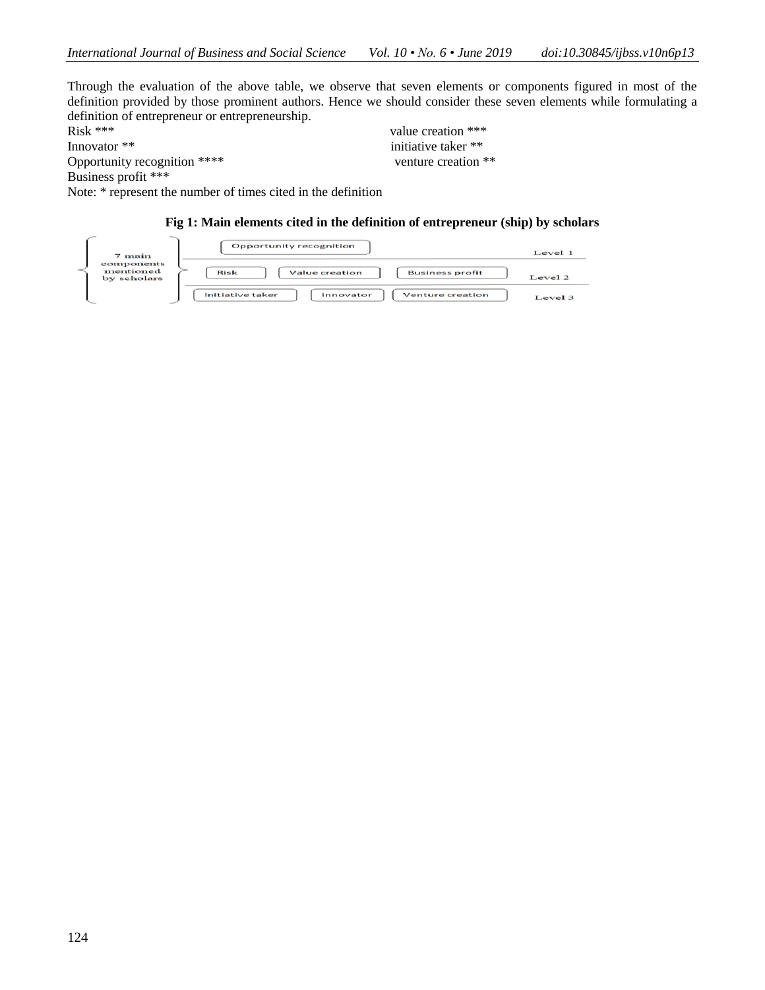Through the evaluation of the above table, we observe that seven elements or components figured in most of the definition provided by those prominent authors. Hence we should consider these seven elements while formulating a definition of entrepreneur or entrepreneurship.<br>Risk \*\*\*

Innovator \*\* initiative taker \*\* Opportunity recognition \*\*\*\* venture creation \*\* Business profit \*\*\*

value creation \*\*\*

Note: \* represent the number of times cited in the definition

## **Fig 1: Main elements cited in the definition of entrepreneur (ship) by scholars**

| 7 main                                 | <b>Opportunity recognition</b>                                  | Level 1   |
|----------------------------------------|-----------------------------------------------------------------|-----------|
| components<br>mentioned<br>by scholars | <b>Risk</b><br><b>Value creation</b><br><b>Business profit</b>  | Level $2$ |
|                                        | <b>Initiative taker</b><br><b>Venture creation</b><br>innovator | Level 3   |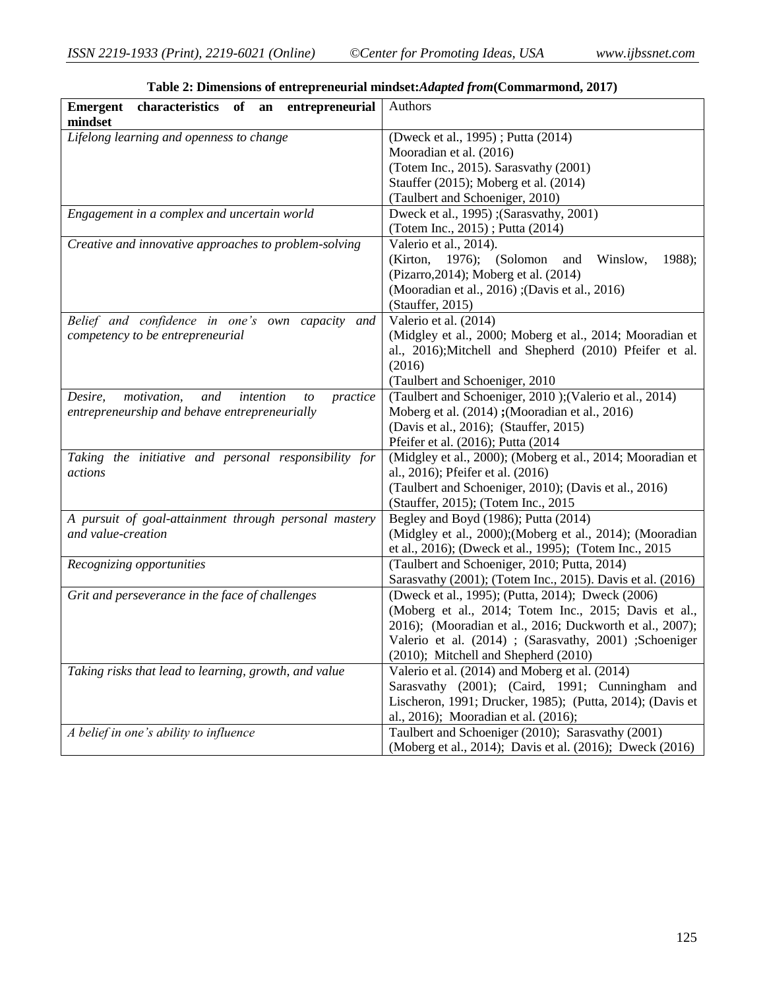| characteristics of an<br>entrepreneurial<br><b>Emergent</b><br>mindset | Authors                                                                                         |  |
|------------------------------------------------------------------------|-------------------------------------------------------------------------------------------------|--|
| Lifelong learning and openness to change                               | (Dweck et al., 1995); Putta (2014)                                                              |  |
|                                                                        | Mooradian et al. (2016)                                                                         |  |
|                                                                        | (Totem Inc., 2015). Sarasvathy (2001)                                                           |  |
|                                                                        | Stauffer (2015); Moberg et al. (2014)                                                           |  |
|                                                                        | (Taulbert and Schoeniger, 2010)                                                                 |  |
| Engagement in a complex and uncertain world                            | Dweck et al., 1995); (Sarasvathy, 2001)                                                         |  |
|                                                                        | (Totem Inc., 2015); Putta (2014)                                                                |  |
| Creative and innovative approaches to problem-solving                  | Valerio et al., 2014).                                                                          |  |
|                                                                        | (Kirton,<br>$1976$ ; (Solomon<br>Winslow,<br>1988);<br>and                                      |  |
|                                                                        | (Pizarro, 2014); Moberg et al. (2014)                                                           |  |
|                                                                        | (Mooradian et al., 2016); (Davis et al., 2016)                                                  |  |
|                                                                        | (Stauffer, 2015)                                                                                |  |
| Belief and confidence in one's own capacity and                        | Valerio et al. (2014)                                                                           |  |
| competency to be entrepreneurial                                       | (Midgley et al., 2000; Moberg et al., 2014; Mooradian et                                        |  |
|                                                                        | al., 2016);Mitchell and Shepherd (2010) Pfeifer et al.                                          |  |
|                                                                        | (2016)                                                                                          |  |
|                                                                        | (Taulbert and Schoeniger, 2010)                                                                 |  |
| Desire,<br>motivation,<br>and<br>intention<br>practice<br>to           | (Taulbert and Schoeniger, 2010); (Valerio et al., 2014)                                         |  |
| entrepreneurship and behave entrepreneurially                          | Moberg et al. (2014); (Mooradian et al., 2016)                                                  |  |
|                                                                        | (Davis et al., 2016); (Stauffer, 2015)                                                          |  |
|                                                                        | Pfeifer et al. (2016); Putta (2014)                                                             |  |
| Taking the initiative and personal responsibility for<br>actions       | (Midgley et al., 2000); (Moberg et al., 2014; Mooradian et<br>al., 2016); Pfeifer et al. (2016) |  |
|                                                                        | (Taulbert and Schoeniger, 2010); (Davis et al., 2016)                                           |  |
|                                                                        | (Stauffer, 2015); (Totem Inc., 2015                                                             |  |
| A pursuit of goal-attainment through personal mastery                  | Begley and Boyd (1986); Putta (2014)                                                            |  |
| and value-creation                                                     | (Midgley et al., 2000);(Moberg et al., 2014); (Mooradian                                        |  |
|                                                                        | et al., 2016); (Dweck et al., 1995); (Totem Inc., 2015                                          |  |
| Recognizing opportunities                                              | (Taulbert and Schoeniger, 2010; Putta, 2014)                                                    |  |
|                                                                        | Sarasvathy (2001); (Totem Inc., 2015). Davis et al. (2016)                                      |  |
| Grit and perseverance in the face of challenges                        | (Dweck et al., 1995); (Putta, 2014); Dweck (2006)                                               |  |
|                                                                        | (Moberg et al., 2014; Totem Inc., 2015; Davis et al.,                                           |  |
|                                                                        | 2016); (Mooradian et al., 2016; Duckworth et al., 2007);                                        |  |
|                                                                        | Valerio et al. (2014) ; (Sarasvathy, 2001) ; Schoeniger                                         |  |
|                                                                        | (2010); Mitchell and Shepherd (2010)                                                            |  |
| Taking risks that lead to learning, growth, and value                  | Valerio et al. (2014) and Moberg et al. (2014)                                                  |  |
|                                                                        | Sarasvathy (2001); (Caird, 1991; Cunningham and                                                 |  |
|                                                                        | Lischeron, 1991; Drucker, 1985); (Putta, 2014); (Davis et                                       |  |
|                                                                        | al., 2016); Mooradian et al. (2016);                                                            |  |
| A belief in one's ability to influence                                 | Taulbert and Schoeniger (2010); Sarasvathy (2001)                                               |  |
|                                                                        | (Moberg et al., 2014); Davis et al. (2016); Dweck (2016)                                        |  |

**Table 2: Dimensions of entrepreneurial mindset:***Adapted from***[\(Commarmond, 2017\)](#page-11-16)**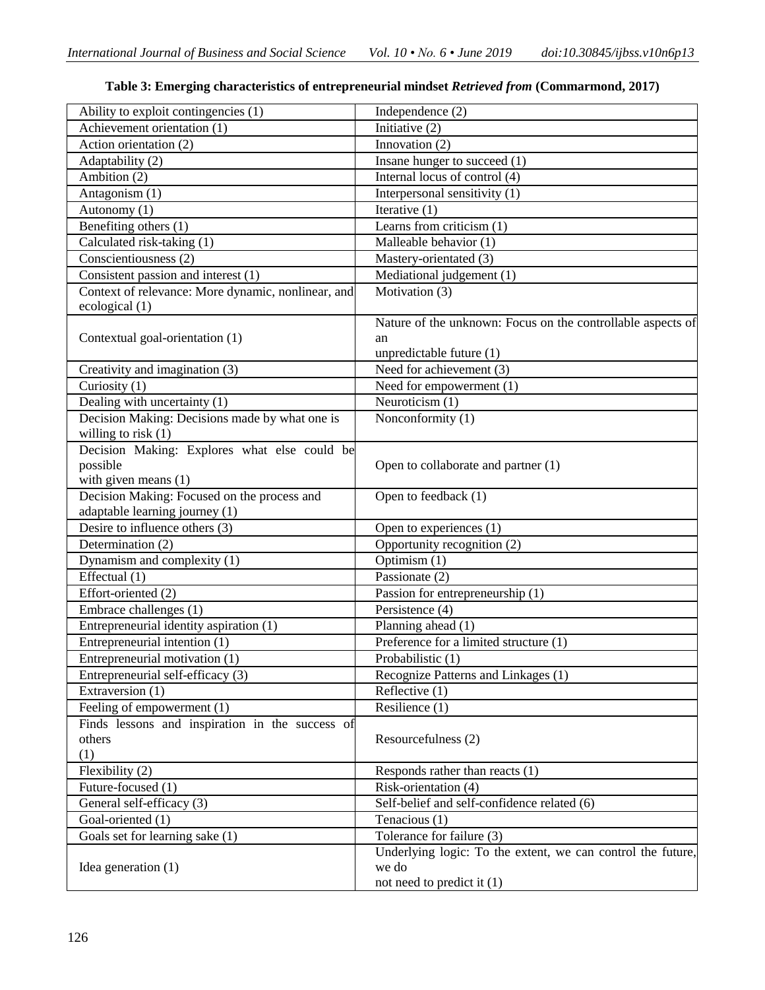| Ability to exploit contingencies (1)                               | Independence (2)                                            |  |  |
|--------------------------------------------------------------------|-------------------------------------------------------------|--|--|
| Achievement orientation (1)                                        | Initiative (2)                                              |  |  |
| Action orientation (2)                                             | Innovation (2)                                              |  |  |
| Adaptability (2)                                                   | Insane hunger to succeed (1)                                |  |  |
| Ambition (2)                                                       | Internal locus of control (4)                               |  |  |
| Antagonism (1)                                                     | Interpersonal sensitivity (1)                               |  |  |
| Autonomy (1)                                                       | Iterative $(1)$                                             |  |  |
| Benefiting others (1)                                              | Learns from criticism (1)                                   |  |  |
| Calculated risk-taking (1)                                         | Malleable behavior (1)                                      |  |  |
| Conscientiousness (2)                                              | Mastery-orientated (3)                                      |  |  |
| Consistent passion and interest (1)                                | Mediational judgement (1)                                   |  |  |
| Context of relevance: More dynamic, nonlinear, and                 | Motivation (3)                                              |  |  |
| ecological (1)                                                     |                                                             |  |  |
|                                                                    | Nature of the unknown: Focus on the controllable aspects of |  |  |
| Contextual goal-orientation (1)                                    | an                                                          |  |  |
|                                                                    | unpredictable future (1)                                    |  |  |
| Creativity and imagination (3)                                     | Need for achievement (3)                                    |  |  |
| Curiosity (1)                                                      | Need for empowerment (1)                                    |  |  |
| Dealing with uncertainty (1)                                       | Neuroticism (1)                                             |  |  |
| Decision Making: Decisions made by what one is                     | Nonconformity (1)                                           |  |  |
| willing to risk (1)                                                |                                                             |  |  |
| Decision Making: Explores what else could be                       |                                                             |  |  |
| possible                                                           | Open to collaborate and partner (1)                         |  |  |
| with given means $(1)$                                             |                                                             |  |  |
| Decision Making: Focused on the process and                        | Open to feedback (1)                                        |  |  |
| adaptable learning journey (1)<br>Desire to influence others $(3)$ |                                                             |  |  |
| Determination (2)                                                  | Open to experiences (1)<br>Opportunity recognition (2)      |  |  |
|                                                                    | Optimism (1)                                                |  |  |
| Dynamism and complexity (1)                                        | Passionate (2)                                              |  |  |
| Effectual (1)<br>Effort-oriented (2)                               |                                                             |  |  |
|                                                                    | Passion for entrepreneurship (1)                            |  |  |
| Embrace challenges (1)                                             | Persistence (4)                                             |  |  |
| Entrepreneurial identity aspiration (1)                            | Planning ahead (1)                                          |  |  |
| Entrepreneurial intention (1)                                      | Preference for a limited structure (1)                      |  |  |
| Entrepreneurial motivation (1)                                     | Probabilistic (1)                                           |  |  |
| Entrepreneurial self-efficacy (3)                                  | Recognize Patterns and Linkages (1)                         |  |  |
| Extraversion (1)                                                   | Reflective (1)                                              |  |  |
| Feeling of empowerment (1)                                         | Resilience (1)                                              |  |  |
| Finds lessons and inspiration in the success of                    |                                                             |  |  |
| others<br>(1)                                                      | Resourcefulness (2)                                         |  |  |
| Flexibility (2)                                                    | Responds rather than reacts (1)                             |  |  |
| Future-focused (1)                                                 | Risk-orientation (4)                                        |  |  |
| General self-efficacy (3)                                          | Self-belief and self-confidence related (6)                 |  |  |
| Goal-oriented (1)                                                  | Tenacious (1)                                               |  |  |
| Goals set for learning sake (1)                                    | Tolerance for failure (3)                                   |  |  |
|                                                                    | Underlying logic: To the extent, we can control the future, |  |  |
| Idea generation $(1)$                                              | we do                                                       |  |  |
|                                                                    | not need to predict it (1)                                  |  |  |

# **Table 3: Emerging characteristics of entrepreneurial mindset** *Retrieved from* **(Commarmond, 2017)**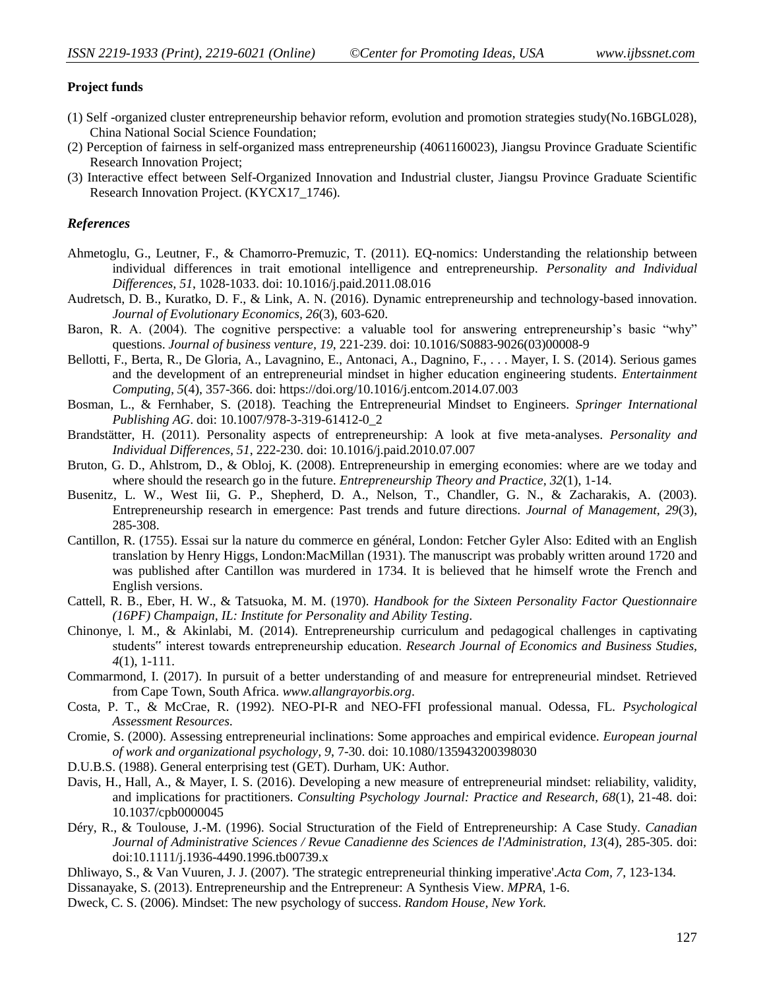#### **Project funds**

- (1) Self -organized cluster entrepreneurship behavior reform, evolution and promotion strategies study(No.16BGL028), China National Social Science Foundation;
- (2) Perception of fairness in self-organized mass entrepreneurship (4061160023), Jiangsu Province Graduate Scientific Research Innovation Project;
- (3) Interactive effect between Self-Organized Innovation and Industrial cluster, Jiangsu Province Graduate Scientific Research Innovation Project. (KYCX17\_1746).

#### *References*

- <span id="page-11-15"></span>Ahmetoglu, G., Leutner, F., & Chamorro-Premuzic, T. (2011). EQ-nomics: Understanding the relationship between individual differences in trait emotional intelligence and entrepreneurship. *Personality and Individual Differences, 51*, 1028-1033. doi: 10.1016/j.paid.2011.08.016
- <span id="page-11-0"></span>Audretsch, D. B., Kuratko, D. F., & Link, A. N. (2016). Dynamic entrepreneurship and technology-based innovation. *Journal of Evolutionary Economics, 26*(3), 603-620.
- <span id="page-11-8"></span>Baron, R. A. (2004). The cognitive perspective: a valuable tool for answering entrepreneurship's basic "why" questions. *Journal of business venture, 19*, 221-239. doi: 10.1016/S0883-9026(03)00008-9
- <span id="page-11-10"></span>Bellotti, F., Berta, R., De Gloria, A., Lavagnino, E., Antonaci, A., Dagnino, F., . . . Mayer, I. S. (2014). Serious games and the development of an entrepreneurial mindset in higher education engineering students. *Entertainment Computing, 5*(4), 357-366. doi: https://doi.org/10.1016/j.entcom.2014.07.003
- <span id="page-11-17"></span>Bosman, L., & Fernhaber, S. (2018). Teaching the Entrepreneurial Mindset to Engineers. *Springer International Publishing AG*. doi: 10.1007/978-3-319-61412-0\_2
- <span id="page-11-7"></span>Brandstätter, H. (2011). Personality aspects of entrepreneurship: A look at five meta-analyses. *Personality and Individual Differences, 51*, 222-230. doi: 10.1016/j.paid.2010.07.007
- <span id="page-11-1"></span>Bruton, G. D., Ahlstrom, D., & Obloj, K. (2008). Entrepreneurship in emerging economies: where are we today and where should the research go in the future. *Entrepreneurship Theory and Practice, 32*(1), 1-14.
- <span id="page-11-2"></span>Busenitz, L. W., West Iii, G. P., Shepherd, D. A., Nelson, T., Chandler, G. N., & Zacharakis, A. (2003). Entrepreneurship research in emergence: Past trends and future directions. *Journal of Management, 29*(3), 285-308.
- <span id="page-11-5"></span>Cantillon, R. (1755). Essai sur la nature du commerce en général, London: Fetcher Gyler Also: Edited with an English translation by Henry Higgs, London:MacMillan (1931). The manuscript was probably written around 1720 and was published after Cantillon was murdered in 1734. It is believed that he himself wrote the French and English versions.
- <span id="page-11-13"></span>Cattell, R. B., Eber, H. W., & Tatsuoka, M. M. (1970). *Handbook for the Sixteen Personality Factor Questionnaire (16PF) Champaign, IL: Institute for Personality and Ability Testing*.
- <span id="page-11-4"></span>Chinonye, l. M., & Akinlabi, M. (2014). Entrepreneurship curriculum and pedagogical challenges in captivating students" interest towards entrepreneurship education. *Research Journal of Economics and Business Studies, 4*(1), 1-111.
- <span id="page-11-16"></span>Commarmond, I. (2017). In pursuit of a better understanding of and measure for entrepreneurial mindset. Retrieved from Cape Town, South Africa. *[www.allangrayorbis.org](http://www.allangrayorbis.org/)*.
- <span id="page-11-12"></span>Costa, P. T., & McCrae, R. (1992). NEO-PI-R and NEO-FFI professional manual. Odessa, FL. *Psychological Assessment Resources*.
- <span id="page-11-6"></span>Cromie, S. (2000). Assessing entrepreneurial inclinations: Some approaches and empirical evidence. *European journal of work and organizational psychology, 9*, 7-30. doi: 10.1080/135943200398030
- <span id="page-11-14"></span>D.U.B.S. (1988). General enterprising test (GET). Durham, UK: Author.
- <span id="page-11-11"></span>Davis, H., Hall, A., & Mayer, I. S. (2016). Developing a new measure of entrepreneurial mindset: reliability, validity, and implications for practitioners. *Consulting Psychology Journal: Practice and Research, 68*(1), 21-48. doi: 10.1037/cpb0000045
- <span id="page-11-3"></span>Déry, R., & Toulouse, J.-M. (1996). Social Structuration of the Field of Entrepreneurship: A Case Study. *Canadian Journal of Administrative Sciences / Revue Canadienne des Sciences de l'Administration, 13*(4), 285-305. doi: doi:10.1111/j.1936-4490.1996.tb00739.x
- Dhliwayo, S., & Van Vuuren, J. J. (2007). 'The strategic entrepreneurial thinking imperative'.*Acta Com, 7*, 123-134.
- <span id="page-11-18"></span>Dissanayake, S. (2013). Entrepreneurship and the Entrepreneur: A Synthesis View. *MPRA*, 1-6.
- <span id="page-11-9"></span>Dweck, C. S. (2006). Mindset: The new psychology of success. *Random House, New York.*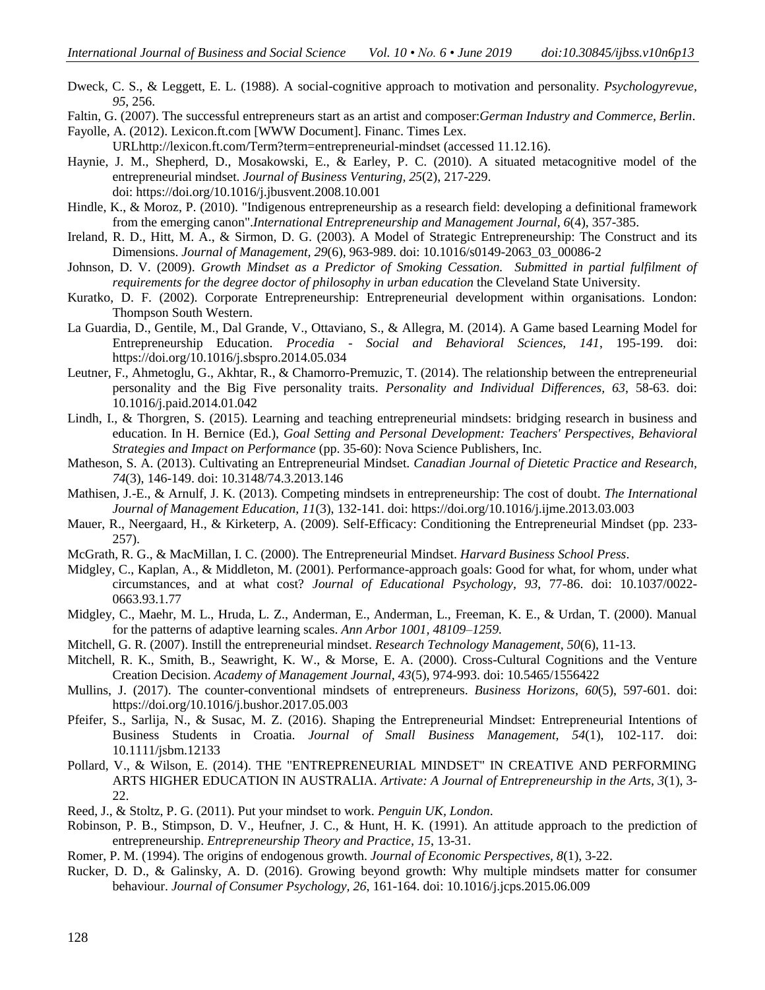<span id="page-12-6"></span>Dweck, C. S., & Leggett, E. L. (1988). A social-cognitive approach to motivation and personality. *Psychologyrevue, 95*, 256.

Faltin, G. (2007). The successful entrepreneurs start as an artist and composer:*German Industry and Commerce, Berlin*.

<span id="page-12-10"></span>Fayolle, A. (2012). Lexicon.ft.com [WWW Document]. Financ. Times Lex.

UR[Lhttp://lexicon.ft.com/Term?term=entrepreneurial-mindset](http://lexicon.ft.com/Term?term=entrepreneurial-mindset) (accessed 11.12.16).

- <span id="page-12-3"></span>Haynie, J. M., Shepherd, D., Mosakowski, E., & Earley, P. C. (2010). A situated metacognitive model of the entrepreneurial mindset. *Journal of Business Venturing, 25*(2), 217-229. doi: https://doi.org/10.1016/j.jbusvent.2008.10.001
- <span id="page-12-0"></span>Hindle, K., & Moroz, P. (2010). "Indigenous entrepreneurship as a research field: developing a definitional framework from the emerging canon".*International Entrepreneurship and Management Journal, 6*(4), 357-385.
- Ireland, R. D., Hitt, M. A., & Sirmon, D. G. (2003). A Model of Strategic Entrepreneurship: The Construct and its Dimensions. *Journal of Management, 29*(6), 963-989. doi: 10.1016/s0149-2063\_03\_00086-2
- <span id="page-12-11"></span>Johnson, D. V. (2009). *Growth Mindset as a Predictor of Smoking Cessation. Submitted in partial fulfilment of requirements for the degree doctor of philosophy in urban education* the Cleveland State University.
- Kuratko, D. F. (2002). Corporate Entrepreneurship: Entrepreneurial development within organisations. London: Thompson South Western.
- <span id="page-12-15"></span>La Guardia, D., Gentile, M., Dal Grande, V., Ottaviano, S., & Allegra, M. (2014). A Game based Learning Model for Entrepreneurship Education. *Procedia - Social and Behavioral Sciences, 141*, 195-199. doi: https://doi.org/10.1016/j.sbspro.2014.05.034
- <span id="page-12-8"></span>Leutner, F., Ahmetoglu, G., Akhtar, R., & Chamorro-Premuzic, T. (2014). The relationship between the entrepreneurial personality and the Big Five personality traits. *Personality and Individual Differences, 63*, 58-63. doi: 10.1016/j.paid.2014.01.042
- <span id="page-12-16"></span>Lindh, I., & Thorgren, S. (2015). Learning and teaching entrepreneurial mindsets: bridging research in business and education. In H. Bernice (Ed.), *Goal Setting and Personal Development: Teachers' Perspectives, Behavioral Strategies and Impact on Performance* (pp. 35-60): Nova Science Publishers, Inc.
- <span id="page-12-18"></span>Matheson, S. A. (2013). Cultivating an Entrepreneurial Mindset. *Canadian Journal of Dietetic Practice and Research, 74*(3), 146-149. doi: 10.3148/74.3.2013.146
- <span id="page-12-14"></span>Mathisen, J.-E., & Arnulf, J. K. (2013). Competing mindsets in entrepreneurship: The cost of doubt. *The International Journal of Management Education, 11*(3), 132-141. doi: https://doi.org/10.1016/j.ijme.2013.03.003
- Mauer, R., Neergaard, H., & Kirketerp, A. (2009). Self-Efficacy: Conditioning the Entrepreneurial Mindset (pp. 233- 257).
- <span id="page-12-2"></span>McGrath, R. G., & MacMillan, I. C. (2000). The Entrepreneurial Mindset. *Harvard Business School Press*.
- <span id="page-12-7"></span>Midgley, C., Kaplan, A., & Middleton, M. (2001). Performance-approach goals: Good for what, for whom, under what circumstances, and at what cost? *Journal of Educational Psychology, 93*, 77-86. doi: 10.1037/0022- 0663.93.1.77
- <span id="page-12-5"></span>Midgley, C., Maehr, M. L., Hruda, L. Z., Anderman, E., Anderman, L., Freeman, K. E., & Urdan, T. (2000). Manual for the patterns of adaptive learning scales. *Ann Arbor 1001, 48109–1259.*
- <span id="page-12-13"></span>Mitchell, G. R. (2007). Instill the entrepreneurial mindset. *Research Technology Management, 50*(6), 11-13.
- <span id="page-12-9"></span>Mitchell, R. K., Smith, B., Seawright, K. W., & Morse, E. A. (2000). Cross-Cultural Cognitions and the Venture Creation Decision. *Academy of Management Journal, 43*(5), 974-993. doi: 10.5465/1556422
- <span id="page-12-20"></span>Mullins, J. (2017). The counter-conventional mindsets of entrepreneurs. *Business Horizons, 60*(5), 597-601. doi: https://doi.org/10.1016/j.bushor.2017.05.003
- <span id="page-12-19"></span>Pfeifer, S., Sarlija, N., & Susac, M. Z. (2016). Shaping the Entrepreneurial Mindset: Entrepreneurial Intentions of Business Students in Croatia. *Journal of Small Business Management, 54*(1), 102-117. doi: 10.1111/jsbm.12133
- Pollard, V., & Wilson, E. (2014). THE "ENTREPRENEURIAL MINDSET" IN CREATIVE AND PERFORMING ARTS HIGHER EDUCATION IN AUSTRALIA. *Artivate: A Journal of Entrepreneurship in the Arts, 3*(1), 3- 22.
- <span id="page-12-4"></span>Reed, J., & Stoltz, P. G. (2011). Put your mindset to work. *Penguin UK, London*.
- <span id="page-12-17"></span>Robinson, P. B., Stimpson, D. V., Heufner, J. C., & Hunt, H. K. (1991). An attitude approach to the prediction of entrepreneurship. *Entrepreneurship Theory and Practice, 15*, 13-31.
- <span id="page-12-1"></span>Romer, P. M. (1994). The origins of endogenous growth. *Journal of Economic Perspectives, 8*(1), 3-22.
- <span id="page-12-12"></span>Rucker, D. D., & Galinsky, A. D. (2016). Growing beyond growth: Why multiple mindsets matter for consumer behaviour. *Journal of Consumer Psychology, 26*, 161-164. doi: 10.1016/j.jcps.2015.06.009